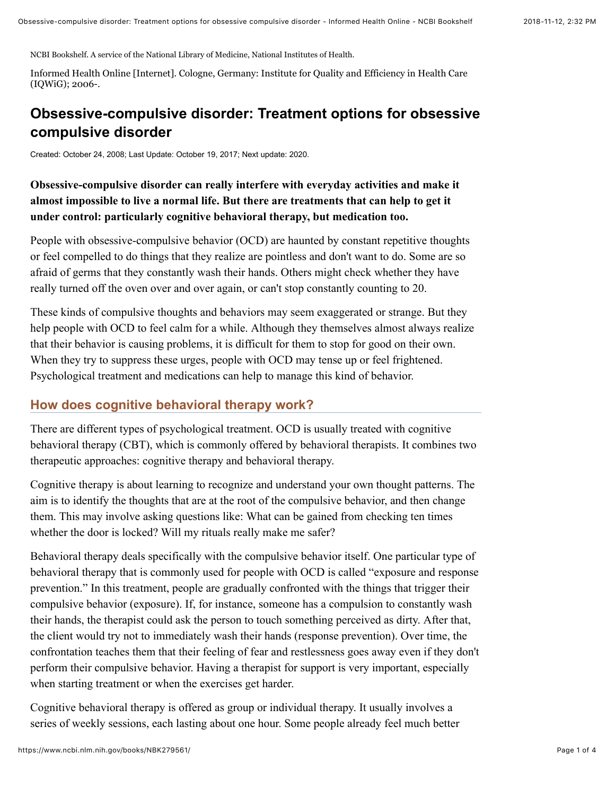NCBI Bookshelf. A service of the National Library of Medicine, National Institutes of Health.

Informed Health Online [Internet]. Cologne, Germany: Institute for Quality and Efficiency in Health Care (IQWiG); 2006-.

# **Obsessive-compulsive disorder: Treatment options for obsessive compulsive disorder**

Created: October 24, 2008; Last Update: October 19, 2017; Next update: 2020.

## **Obsessive-compulsive disorder can really interfere with everyday activities and make it almost impossible to live a normal life. But there are treatments that can help to get it under control: particularly cognitive behavioral therapy, but medication too.**

People with obsessive-compulsive behavior (OCD) are haunted by constant repetitive thoughts or feel compelled to do things that they realize are pointless and don't want to do. Some are so afraid of germs that they constantly wash their hands. Others might check whether they have really turned off the oven over and over again, or can't stop constantly counting to 20.

These kinds of compulsive thoughts and behaviors may seem exaggerated or strange. But they help people with OCD to feel calm for a while. Although they themselves almost always realize that their behavior is causing problems, it is difficult for them to stop for good on their own. When they try to suppress these urges, people with OCD may tense up or feel frightened. Psychological treatment and medications can help to manage this kind of behavior.

#### **How does cognitive behavioral therapy work?**

There are different types of psychological treatment. OCD is usually treated with cognitive behavioral therapy (CBT), which is commonly offered by behavioral therapists. It combines two therapeutic approaches: cognitive therapy and behavioral therapy.

Cognitive therapy is about learning to recognize and understand your own thought patterns. The aim is to identify the thoughts that are at the root of the compulsive behavior, and then change them. This may involve asking questions like: What can be gained from checking ten times whether the door is locked? Will my rituals really make me safer?

Behavioral therapy deals specifically with the compulsive behavior itself. One particular type of behavioral therapy that is commonly used for people with OCD is called "exposure and response prevention." In this treatment, people are gradually confronted with the things that trigger their compulsive behavior (exposure). If, for instance, someone has a compulsion to constantly wash their hands, the therapist could ask the person to touch something perceived as dirty. After that, the client would try not to immediately wash their hands (response prevention). Over time, the confrontation teaches them that their feeling of fear and restlessness goes away even if they don't perform their compulsive behavior. Having a therapist for support is very important, especially when starting treatment or when the exercises get harder.

Cognitive behavioral therapy is offered as group or individual therapy. It usually involves a series of weekly sessions, each lasting about one hour. Some people already feel much better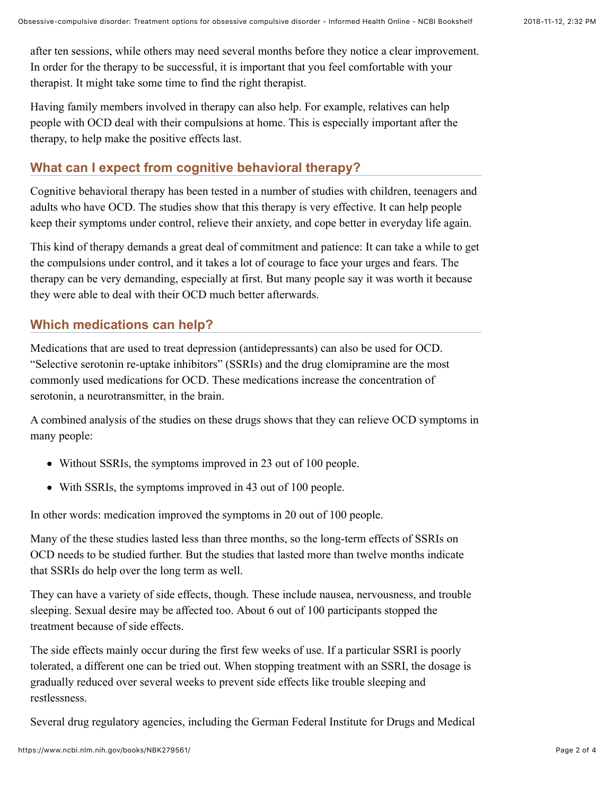after ten sessions, while others may need several months before they notice a clear improvement. In order for the therapy to be successful, it is important that you feel comfortable with your therapist. It might take some time to find the right therapist.

Having family members involved in therapy can also help. For example, relatives can help people with OCD deal with their compulsions at home. This is especially important after the therapy, to help make the positive effects last.

## **What can I expect from cognitive behavioral therapy?**

Cognitive behavioral therapy has been tested in a number of studies with children, teenagers and adults who have OCD. The studies show that this therapy is very effective. It can help people keep their symptoms under control, relieve their anxiety, and cope better in everyday life again.

This kind of therapy demands a great deal of commitment and patience: It can take a while to get the compulsions under control, and it takes a lot of courage to face your urges and fears. The therapy can be very demanding, especially at first. But many people say it was worth it because they were able to deal with their OCD much better afterwards.

## **Which medications can help?**

Medications that are used to treat [depression](https://www.ncbi.nlm.nih.gov/books/n/pmh_iqwig/glossary/def-item/def233/) (antidepressants) can also be used for OCD. "Selective serotonin re-uptake inhibitors" (SSRIs) and the drug clomipramine are the most commonly used medications for OCD. These medications increase the concentration of serotonin, a neurotransmitter, in the brain.

A combined analysis of the studies on these drugs shows that they can relieve OCD symptoms in many people:

- Without SSRIs, the symptoms improved in 23 out of 100 people.
- With SSRIs, the symptoms improved in 43 out of 100 people.

In other words: medication improved the symptoms in 20 out of 100 people.

Many of the these studies lasted less than three months, so the long-term effects of SSRIs on OCD needs to be studied further. But the studies that lasted more than twelve months indicate that SSRIs do help over the long term as well.

They can have a variety of side effects, though. These include nausea, nervousness, and trouble sleeping. Sexual desire may be affected too. About 6 out of 100 participants stopped the treatment because of side effects.

The side effects mainly occur during the first few weeks of use. If a particular SSRI is poorly tolerated, a different one can be tried out. When stopping treatment with an SSRI, the dosage is gradually reduced over several weeks to prevent side effects like trouble sleeping and restlessness.

Several drug regulatory agencies, including the German Federal Institute for Drugs and Medical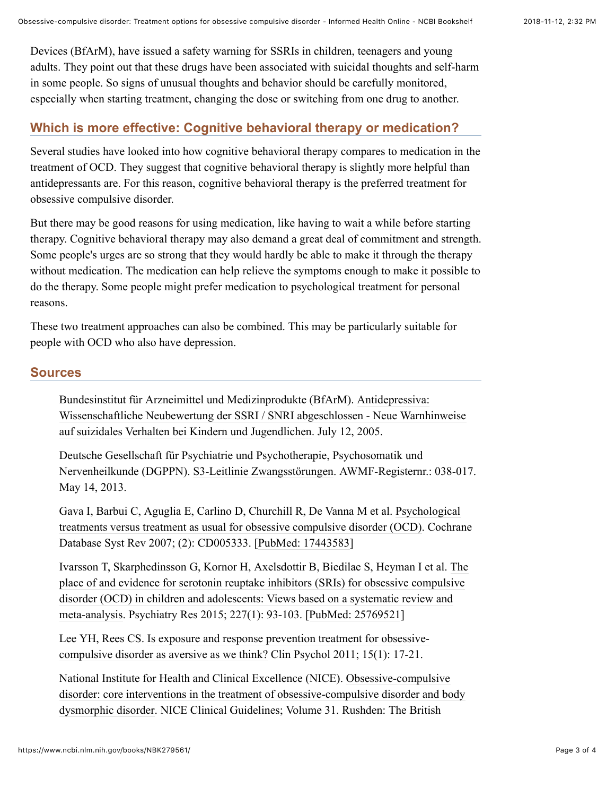Devices (BfArM), have issued a safety warning for SSRIs in children, teenagers and young adults. They point out that these drugs have been associated with suicidal thoughts and self-harm in some people. So signs of unusual thoughts and behavior should be carefully monitored, especially when starting treatment, changing the dose or switching from one drug to another.

### **Which is more effective: Cognitive behavioral therapy or medication?**

Several studies have looked into how cognitive behavioral therapy compares to medication in the treatment of OCD. They suggest that cognitive behavioral therapy is slightly more helpful than antidepressants are. For this reason, cognitive behavioral therapy is the preferred treatment for obsessive compulsive disorder.

But there may be good reasons for using medication, like having to wait a while before starting therapy. Cognitive behavioral therapy may also demand a great deal of commitment and strength. Some people's urges are so strong that they would hardly be able to make it through the therapy without medication. The medication can help relieve the symptoms enough to make it possible to do the therapy. Some people might prefer medication to psychological treatment for personal reasons.

These two treatment approaches can also be combined. This may be particularly suitable for people with OCD who also have [depression](https://www.ncbi.nlm.nih.gov/books/n/pmh_iqwig/glossary/def-item/def233/).

#### **Sources**

Bundesinstitut für Arzneimittel und Medizinprodukte (BfArM). Antidepressiva: [Wissenschaftliche Neubewertung der SSRI / SNRI abgeschlossen - Neue Warnhinweise](http://www.bfarm.de/SharedDocs/Risikoinformationen/Pharmakovigilanz/DE/RI/2005/RI-antidepressiva-neubewertung.html) auf suizidales Verhalten bei Kindern und Jugendlichen. July 12, 2005.

Deutsche Gesellschaft für Psychiatrie und Psychotherapie, Psychosomatik und Nervenheilkunde (DGPPN). [S3-Leitlinie Zwangsstörungen](http://www.awmf.org/uploads/tx_szleitlinien/038_017l_S3_Zwangsst%C3%B6rungen_2013.pdf). AWMF-Registernr.: 038-017. May 14, 2013.

Gava I, Barbui C, Aguglia E, Carlino D, Churchill R, De Vanna M et al. Psychological [treatments versus treatment as usual for obsessive compulsive disorder \(OCD\). Cochra](https://www.ncbi.nlm.nih.gov/pubmed/17443583)ne Database Syst Rev 2007; (2): CD005333. [\[PubMed: 17443583](https://www.ncbi.nlm.nih.gov/pubmed/17443583)]

[Ivarsson T, Skarphedinsson G, Kornor H, Axelsdottir B, Biedilae S, Heyman I et al. The](https://www.ncbi.nlm.nih.gov/pubmed/25769521) place of and evidence for serotonin reuptake inhibitors (SRIs) for obsessive compulsive disorder (OCD) in children and adolescents: Views based on a systematic review and meta-analysis. Psychiatry Res 2015; 227(1): 93-103. [[PubMed: 25769521](https://www.ncbi.nlm.nih.gov/pubmed/25769521)]

[Lee YH, Rees CS. Is exposure and response prevention treatment for obsessive](https://www.researchgate.net/profile/Clare_Rees3/publication/264614908_Is_exposure_and_response_prevention_treatment_for_obsessive-compulsive_disorder_as_aversive_as_we_think/links/54780a6f0cf2a961e4848d66/Is-exposure-and-response-prevention-treatment-for-obsessive-compulsive-disorder-as-aversive-as-we-think.pdf)compulsive disorder as aversive as we think? Clin Psychol 2011; 15(1): 17-21.

National Institute for Health and Clinical Excellence (NICE). Obsessive-compulsive [disorder: core interventions in the treatment of obsessive-compulsive disorder and body](https://www.ncbi.nlm.nih.gov/books/NBK56458/pdf/Bookshelf_NBK56458.pdf) dysmorphic disorder. NICE Clinical Guidelines; Volume 31. Rushden: The British